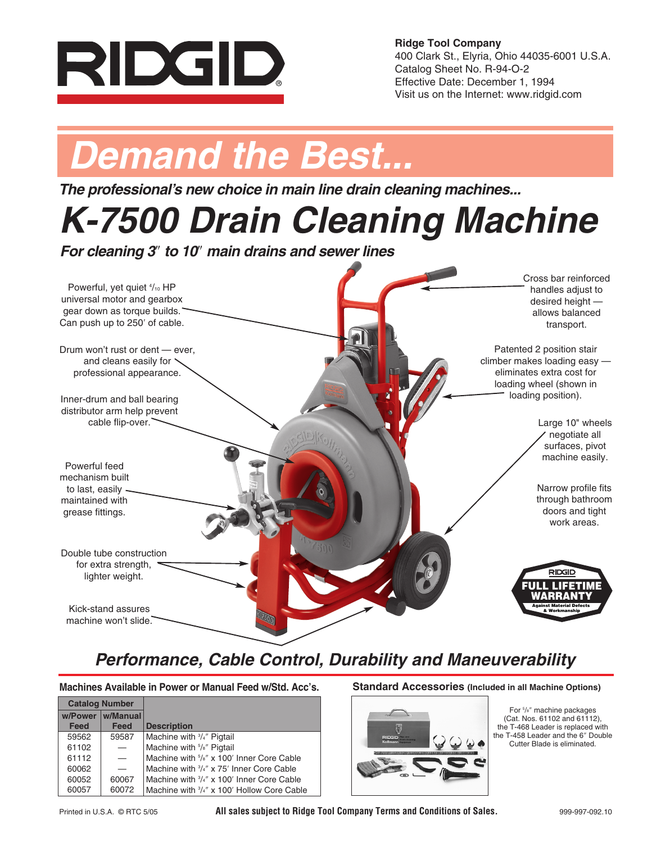

**Ridge Tool Company** 400 Clark St., Elyria, Ohio 44035-6001 U.S.A. Catalog Sheet No. R-94-O-2 Effective Date: December 1, 1994 Visit us on the Internet: www.ridgid.com

# *Demand the Best...*

*The professional's new choice in main line drain cleaning machines...*

# *K-7500 Drain Cleaning Machine*

*For cleaning 3*″ *to 10*″ *main drains and sewer lines*



## *Performance, Cable Control, Durability and Maneuverability*

**Machines Available in Power or Manual Feed w/Std. Acc's. Standard Accessories (Included in all Machine Options)**

| <b>Catalog Number</b> |         |                          |                                                                    |
|-----------------------|---------|--------------------------|--------------------------------------------------------------------|
|                       | w/Power | w/Manual                 |                                                                    |
|                       | Feed    | Feed                     | <b>Description</b>                                                 |
|                       | 59562   | 59587                    | Machine with 3/4" Pigtail                                          |
|                       | 61102   | $\overline{\phantom{0}}$ | Machine with <sup>5</sup> / <sub>8</sub> " Pigtail                 |
|                       | 61112   | $\overline{\phantom{0}}$ | Machine with <sup>5</sup> / <sub>8</sub> " x 100' Inner Core Cable |
|                       | 60062   |                          | Machine with 3/4" x 75' Inner Core Cable                           |
|                       | 60052   | 60067                    | Machine with 3/4" x 100' Inner Core Cable                          |
|                       | 60057   | 60072                    | Machine with 3/4" x 100' Hollow Core Cable                         |
|                       |         |                          |                                                                    |



For 5 /8″ machine packages (Cat. Nos. 61102 and 61112), the T-468 Leader is replaced with the T-458 Leader and the 6″ Double Cutter Blade is eliminated.